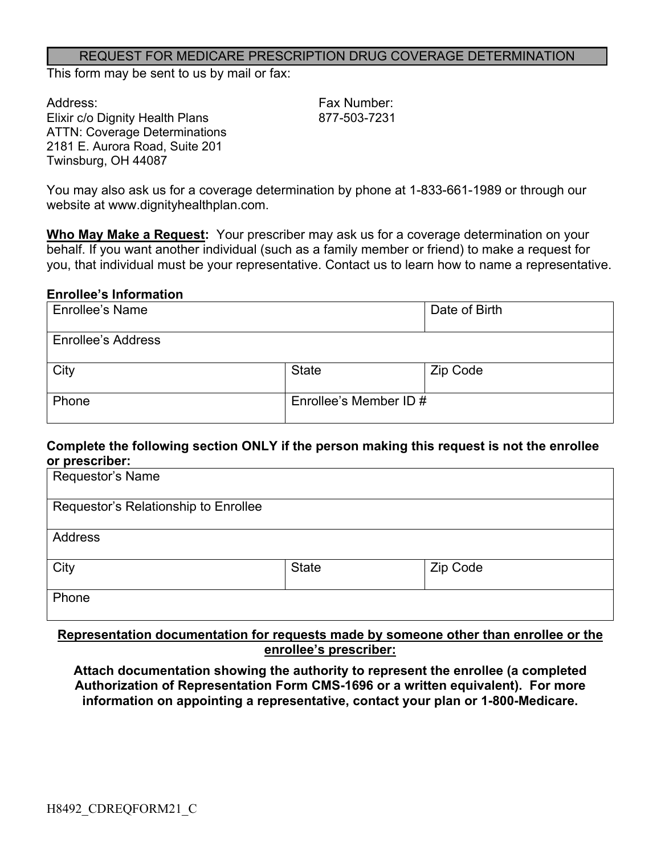#### REQUEST FOR MEDICARE PRESCRIPTION DRUG COVERAGE DETERMINATION

This form may be sent to us by mail or fax:

Address: Fax Number: Elixir c/o Dignity Health Plans 877-503-7231 ATTN: Coverage Determinations 2181 E. Aurora Road, Suite 201 Twinsburg, OH 44087

You may also ask us for a coverage determination by phone at 1-833-661-1989 or through our website at www.dignityhealthplan.com.

**Who May Make a Request:** Your prescriber may ask us for a coverage determination on your behalf. If you want another individual (such as a family member or friend) to make a request for you, that individual must be your representative. Contact us to learn how to name a representative.

#### **Enrollee's Information**

| <b>Enrollee's Name</b>    |                        | Date of Birth |
|---------------------------|------------------------|---------------|
| <b>Enrollee's Address</b> |                        |               |
| City                      | <b>State</b>           | Zip Code      |
| Phone                     | Enrollee's Member ID # |               |

#### **Complete the following section ONLY if the person making this request is not the enrollee or prescriber:**

| Requestor's Name                     |              |          |
|--------------------------------------|--------------|----------|
| Requestor's Relationship to Enrollee |              |          |
| <b>Address</b>                       |              |          |
| City                                 | <b>State</b> | Zip Code |
| Phone                                |              |          |

### **Representation documentation for requests made by someone other than enrollee or the enrollee's prescriber:**

**Attach documentation showing the authority to represent the enrollee (a completed Authorization of Representation Form CMS-1696 or a written equivalent). For more information on appointing a representative, contact your plan or 1-800-Medicare.**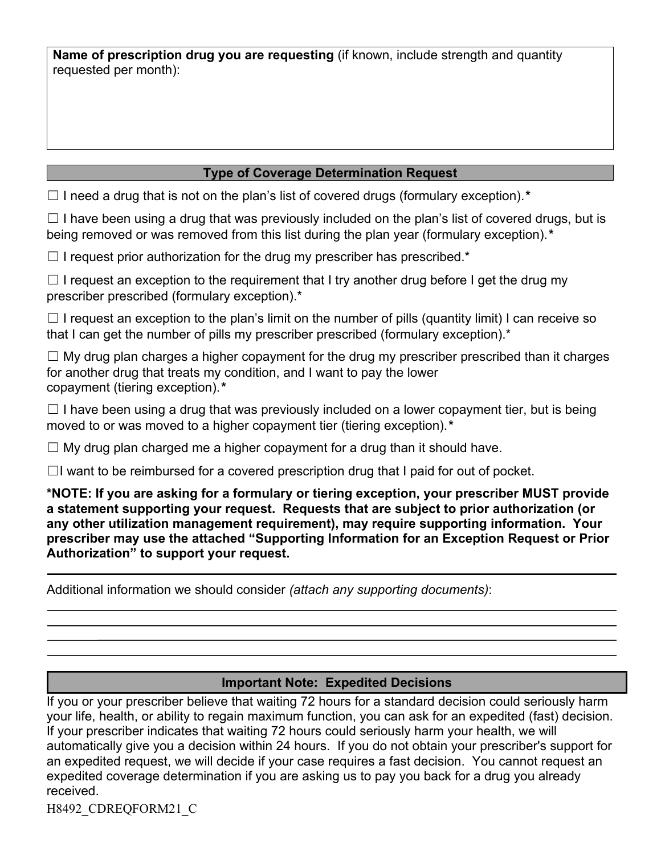**Name of prescription drug you are requesting** (if known, include strength and quantity requested per month):

## **Type of Coverage Determination Request**

☐ I need a drug that is not on the plan's list of covered drugs (formulary exception).*\**

 $\Box$  I have been using a drug that was previously included on the plan's list of covered drugs, but is being removed or was removed from this list during the plan year (formulary exception).*\**

 $\Box$  I request prior authorization for the drug my prescriber has prescribed.\*

 $\Box$  I request an exception to the requirement that I try another drug before I get the drug my prescriber prescribed (formulary exception).\*

 $\Box$  I request an exception to the plan's limit on the number of pills (quantity limit) I can receive so that I can get the number of pills my prescriber prescribed (formulary exception).<sup>\*</sup>

 $\Box$  My drug plan charges a higher copayment for the drug my prescriber prescribed than it charges for another drug that treats my condition, and I want to pay the lower copayment (tiering exception).*\**

 $\Box$  I have been using a drug that was previously included on a lower copayment tier, but is being moved to or was moved to a higher copayment tier (tiering exception).*\**

 $\Box$  My drug plan charged me a higher copayment for a drug than it should have.

 $\Box$ I want to be reimbursed for a covered prescription drug that I paid for out of pocket.

**\*NOTE: If you are asking for a formulary or tiering exception, your prescriber MUST provide a statement supporting your request. Requests that are subject to prior authorization (or any other utilization management requirement), may require supporting information. Your prescriber may use the attached "Supporting Information for an Exception Request or Prior Authorization" to support your request.**

Additional information we should consider *(attach any supporting documents)*:

## **Important Note: Expedited Decisions**

If you or your prescriber believe that waiting 72 hours for a standard decision could seriously harm your life, health, or ability to regain maximum function, you can ask for an expedited (fast) decision. If your prescriber indicates that waiting 72 hours could seriously harm your health, we will automatically give you a decision within 24 hours. If you do not obtain your prescriber's support for an expedited request, we will decide if your case requires a fast decision. You cannot request an expedited coverage determination if you are asking us to pay you back for a drug you already received.

H8492\_CDREQFORM21\_C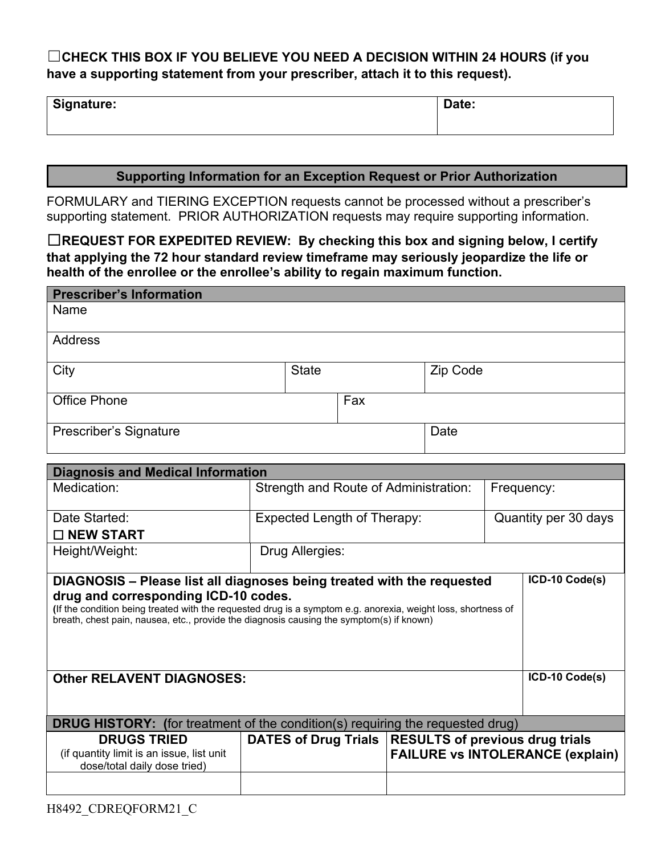# ☐**CHECK THIS BOX IF YOU BELIEVE YOU NEED A DECISION WITHIN 24 HOURS (if you have a supporting statement from your prescriber, attach it to this request).**

| Signature: | Date: |
|------------|-------|
|------------|-------|

### **Supporting Information for an Exception Request or Prior Authorization**

FORMULARY and TIERING EXCEPTION requests cannot be processed without a prescriber's supporting statement. PRIOR AUTHORIZATION requests may require supporting information.

☐**REQUEST FOR EXPEDITED REVIEW: By checking this box and signing below, I certify that applying the 72 hour standard review timeframe may seriously jeopardize the life or health of the enrollee or the enrollee's ability to regain maximum function.**

| <b>Prescriber's Information</b> |              |     |          |
|---------------------------------|--------------|-----|----------|
| Name                            |              |     |          |
| Address                         |              |     |          |
| City                            | <b>State</b> |     | Zip Code |
| <b>Office Phone</b>             |              | Fax |          |
| Prescriber's Signature          |              |     | Date     |

| <b>Diagnosis and Medical Information</b>                                                                                                                                                                                                                                                                                    |                                                        |  |                                         |
|-----------------------------------------------------------------------------------------------------------------------------------------------------------------------------------------------------------------------------------------------------------------------------------------------------------------------------|--------------------------------------------------------|--|-----------------------------------------|
| Medication:                                                                                                                                                                                                                                                                                                                 | Strength and Route of Administration:                  |  | Frequency:                              |
| Date Started:                                                                                                                                                                                                                                                                                                               | Expected Length of Therapy:<br>Quantity per 30 days    |  |                                         |
| $\Box$ NEW START                                                                                                                                                                                                                                                                                                            |                                                        |  |                                         |
| Height/Weight:                                                                                                                                                                                                                                                                                                              | Drug Allergies:                                        |  |                                         |
| DIAGNOSIS - Please list all diagnoses being treated with the requested<br>drug and corresponding ICD-10 codes.<br>(If the condition being treated with the requested drug is a symptom e.g. anorexia, weight loss, shortness of<br>breath, chest pain, nausea, etc., provide the diagnosis causing the symptom(s) if known) |                                                        |  | ICD-10 Code(s)                          |
| <b>Other RELAVENT DIAGNOSES:</b>                                                                                                                                                                                                                                                                                            |                                                        |  | ICD-10 Code(s)                          |
| <b>DRUG HISTORY:</b> (for treatment of the condition(s) requiring the requested drug)                                                                                                                                                                                                                                       |                                                        |  |                                         |
| <b>DRUGS TRIED</b><br>(if quantity limit is an issue, list unit<br>dose/total daily dose tried)                                                                                                                                                                                                                             | DATES of Drug Trials   RESULTS of previous drug trials |  | <b>FAILURE vs INTOLERANCE (explain)</b> |
|                                                                                                                                                                                                                                                                                                                             |                                                        |  |                                         |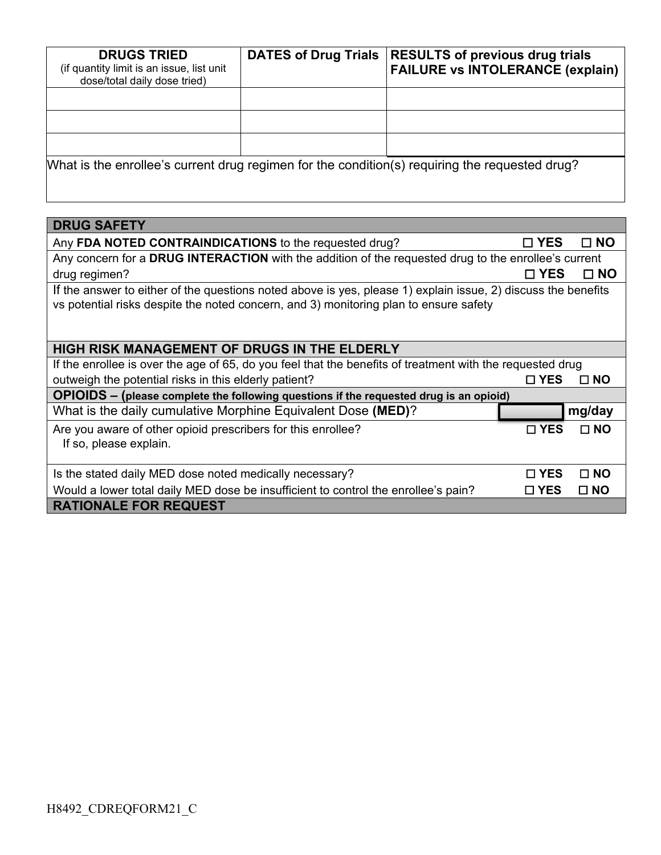| <b>DRUGS TRIED</b><br>(if quantity limit is an issue, list unit<br>dose/total daily dose tried) | <b>DATES of Drug Trials</b> | <b>RESULTS of previous drug trials</b><br><b>FAILURE vs INTOLERANCE (explain)</b>              |
|-------------------------------------------------------------------------------------------------|-----------------------------|------------------------------------------------------------------------------------------------|
|                                                                                                 |                             |                                                                                                |
|                                                                                                 |                             |                                                                                                |
|                                                                                                 |                             |                                                                                                |
|                                                                                                 |                             | What is the enrollee's current drug regimen for the condition(s) requiring the requested drug? |

| <b>DRUG SAFETY</b>                                                                                                                                                                                     |               |              |  |
|--------------------------------------------------------------------------------------------------------------------------------------------------------------------------------------------------------|---------------|--------------|--|
| Any FDA NOTED CONTRAINDICATIONS to the requested drug?                                                                                                                                                 | $\square$ YES | $\square$ NO |  |
| Any concern for a DRUG INTERACTION with the addition of the requested drug to the enrollee's current                                                                                                   |               |              |  |
| drug regimen?                                                                                                                                                                                          | $\square$ YES | $\square$ NO |  |
| If the answer to either of the questions noted above is yes, please 1) explain issue, 2) discuss the benefits<br>vs potential risks despite the noted concern, and 3) monitoring plan to ensure safety |               |              |  |
| HIGH RISK MANAGEMENT OF DRUGS IN THE ELDERLY                                                                                                                                                           |               |              |  |
| If the enrollee is over the age of 65, do you feel that the benefits of treatment with the requested drug                                                                                              |               |              |  |
| outweigh the potential risks in this elderly patient?                                                                                                                                                  | □ YES         | $\Box$ NO    |  |
| OPIOIDS - (please complete the following questions if the requested drug is an opioid)                                                                                                                 |               |              |  |
| What is the daily cumulative Morphine Equivalent Dose (MED)?                                                                                                                                           |               | mg/day       |  |
| Are you aware of other opioid prescribers for this enrollee?<br>If so, please explain.                                                                                                                 | $\square$ YES | $\square$ NO |  |
| Is the stated daily MED dose noted medically necessary?                                                                                                                                                | $\sqcap$ YES  | $\Box$ NO    |  |
| Would a lower total daily MED dose be insufficient to control the enrollee's pain?                                                                                                                     | $\square$ YES | $\square$ NO |  |
| <b>RATIONALE FOR REQUEST</b>                                                                                                                                                                           |               |              |  |